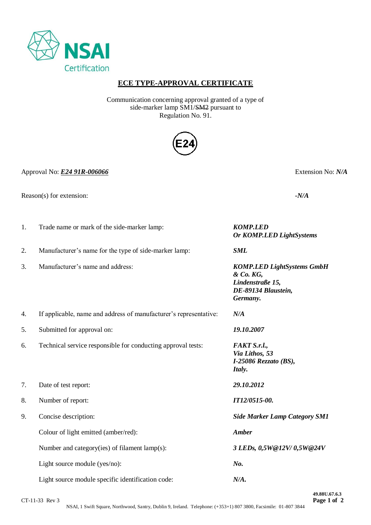

# **ECE TYPE-APPROVAL CERTIFICATE**

Communication concerning approval granted of a type of side-marker lamp SM1/SM2 pursuant to Regulation No. 91.



Approval No: *E24 91R-006066* Extension No: *N/A*

Reason(s) for extension: *-N/A*

| 1. | Trade name or mark of the side-marker lamp:                       | <b>KOMP.LED</b><br><b>Or KOMP.LED LightSystems</b>                                                    |
|----|-------------------------------------------------------------------|-------------------------------------------------------------------------------------------------------|
| 2. | Manufacturer's name for the type of side-marker lamp:             | <b>SML</b>                                                                                            |
| 3. | Manufacturer's name and address:                                  | <b>KOMP.LED LightSystems GmbH</b><br>& Co. KG,<br>Lindenstraße 15,<br>DE-89134 Blaustein,<br>Germany. |
| 4. | If applicable, name and address of manufacturer's representative: | N/A                                                                                                   |
| 5. | Submitted for approval on:                                        | 19.10.2007                                                                                            |
| 6. | Technical service responsible for conducting approval tests:      | FAKT S.r.l.,<br>Via Lithos, 53<br>I-25086 Rezzato (BS),<br>Italy.                                     |
| 7. | Date of test report:                                              | 29.10.2012                                                                                            |
| 8. | Number of report:                                                 | IT12/0515-00.                                                                                         |
| 9. | Concise description:                                              | <b>Side Marker Lamp Category SM1</b>                                                                  |
|    | Colour of light emitted (amber/red):                              | <b>Amber</b>                                                                                          |
|    | Number and category(ies) of filament lamp(s):                     | 3 LEDs, 0,5W@12V/0,5W@24V                                                                             |
|    | Light source module (yes/no):                                     | No.                                                                                                   |
|    | Light source module specific identification code:                 | N/A.                                                                                                  |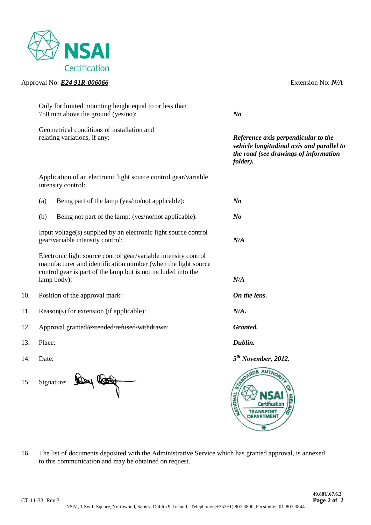

## Approval No: *E24 91R-006066* Extension No: *N/A*

|     | Only for limited mounting height equal to or less than<br>750 mm above the ground (yes/no):                                                                                                                      | N <sub>o</sub>                                                                                                                        |
|-----|------------------------------------------------------------------------------------------------------------------------------------------------------------------------------------------------------------------|---------------------------------------------------------------------------------------------------------------------------------------|
|     | Geometrical conditions of installation and<br>relating variations, if any:                                                                                                                                       | Reference axis perpendicular to the<br>vehicle longitudinal axis and parallel to<br>the road (see drawings of information<br>folder). |
|     | Application of an electronic light source control gear/variable<br>intensity control:                                                                                                                            |                                                                                                                                       |
|     | Being part of the lamp (yes/no/not applicable):<br>(a)                                                                                                                                                           | $N_{0}$                                                                                                                               |
|     | Being not part of the lamp: (yes/no/not applicable):<br>(b)                                                                                                                                                      | $N_{0}$                                                                                                                               |
|     | Input voltage(s) supplied by an electronic light source control<br>gear/variable intensity control:                                                                                                              | N/A                                                                                                                                   |
|     | Electronic light source control gear/variable intensity control<br>manufacturer and identification number (when the light source<br>control gear is part of the lamp but is not included into the<br>lamp body): | N/A                                                                                                                                   |
| 10. | Position of the approval mark:                                                                                                                                                                                   | On the lens.                                                                                                                          |
| 11. | Reason(s) for extension (if applicable):                                                                                                                                                                         | N/A.                                                                                                                                  |
| 12. | Approval granted/extended/refused/withdrawn:                                                                                                                                                                     | Granted.                                                                                                                              |
| 13. | Place:                                                                                                                                                                                                           | Dublin.                                                                                                                               |
| 14. | Date:                                                                                                                                                                                                            | $5th$ November, 2012.                                                                                                                 |
| 15. | Signature:                                                                                                                                                                                                       | <b>AUTHO</b><br><b>ANONA</b>                                                                                                          |

16. The list of documents deposited with the Administrative Service which has granted approval, is annexed to this communication and may be obtained on request.

 $\overline{\mathbf{z}}$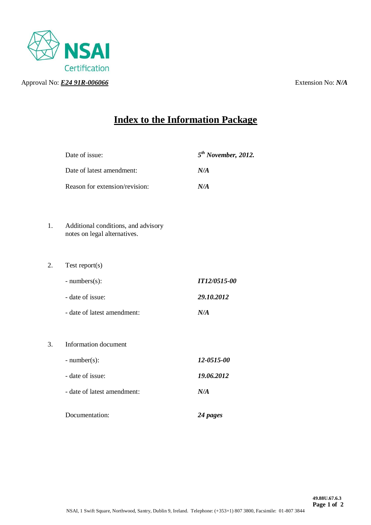

# **Index to the Information Package**

|    | Date of issue:                                                      | $5th$ November, 2012. |
|----|---------------------------------------------------------------------|-----------------------|
|    | Date of latest amendment:                                           | N/A                   |
|    | Reason for extension/revision:                                      | N/A                   |
|    |                                                                     |                       |
| 1. | Additional conditions, and advisory<br>notes on legal alternatives. |                       |
|    |                                                                     |                       |
| 2. | Test report $(s)$                                                   |                       |
|    | $- numbers(s)$ :                                                    | <b>IT12/0515-00</b>   |
|    | - date of issue:                                                    | 29.10.2012            |
|    | - date of latest amendment:                                         | N/A                   |
|    |                                                                     |                       |
| 3. | <b>Information</b> document                                         |                       |
|    | $-$ number(s):                                                      | 12-0515-00            |
|    | - date of issue:                                                    | 19.06.2012            |
|    | - date of latest amendment:                                         | N/A                   |
|    | Documentation:                                                      | 24 pages              |